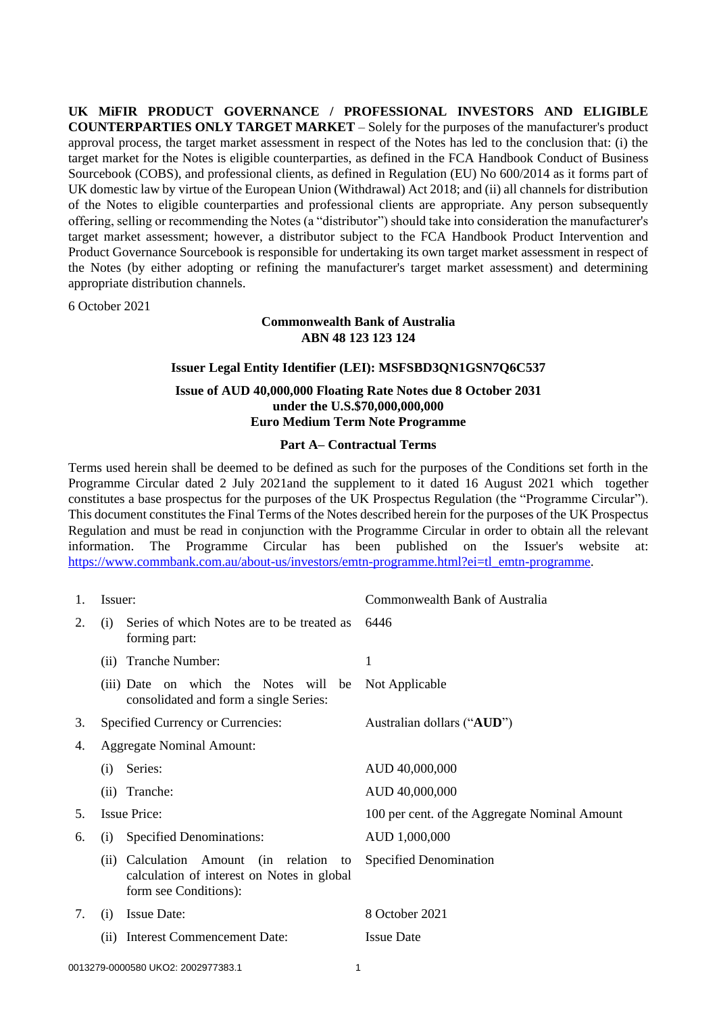**UK MiFIR PRODUCT GOVERNANCE / PROFESSIONAL INVESTORS AND ELIGIBLE COUNTERPARTIES ONLY TARGET MARKET** – Solely for the purposes of the manufacturer's product approval process, the target market assessment in respect of the Notes has led to the conclusion that: (i) the target market for the Notes is eligible counterparties, as defined in the FCA Handbook Conduct of Business Sourcebook (COBS), and professional clients, as defined in Regulation (EU) No 600/2014 as it forms part of UK domestic law by virtue of the European Union (Withdrawal) Act 2018; and (ii) all channels for distribution of the Notes to eligible counterparties and professional clients are appropriate. Any person subsequently offering, selling or recommending the Notes (a "distributor") should take into consideration the manufacturer's target market assessment; however, a distributor subject to the FCA Handbook Product Intervention and Product Governance Sourcebook is responsible for undertaking its own target market assessment in respect of the Notes (by either adopting or refining the manufacturer's target market assessment) and determining appropriate distribution channels.

6 October 2021

# **Commonwealth Bank of Australia ABN 48 123 123 124**

# **Issuer Legal Entity Identifier (LEI): MSFSBD3QN1GSN7Q6C537**

#### **Issue of AUD 40,000,000 Floating Rate Notes due 8 October 2031 under the U.S.\$70,000,000,000 Euro Medium Term Note Programme**

#### **Part A– Contractual Terms**

Terms used herein shall be deemed to be defined as such for the purposes of the Conditions set forth in the Programme Circular dated 2 July 2021and the supplement to it dated 16 August 2021 which together constitutes a base prospectus for the purposes of the UK Prospectus Regulation (the "Programme Circular"). This document constitutes the Final Terms of the Notes described herein for the purposes of the UK Prospectus Regulation and must be read in conjunction with the Programme Circular in order to obtain all the relevant information. The Programme Circular has been published on the Issuer's website at: [https://www.commbank.com.au/about-us/investors/emtn-programme.html?ei=tl\\_emtn-programme.](https://www.commbank.com.au/about-us/investors/emtn-programme.html?ei=tl_emtn-programme)

| 1. | Issuer:                                                            |                                                                                                                | Commonwealth Bank of Australia                |  |
|----|--------------------------------------------------------------------|----------------------------------------------------------------------------------------------------------------|-----------------------------------------------|--|
| 2. | Series of which Notes are to be treated as<br>(i)<br>forming part: |                                                                                                                | 6446                                          |  |
|    | (ii)                                                               | Tranche Number:                                                                                                | 1                                             |  |
|    |                                                                    | (iii) Date on which the Notes will be<br>consolidated and form a single Series:                                | Not Applicable                                |  |
| 3. | Specified Currency or Currencies:                                  |                                                                                                                | Australian dollars ("AUD")                    |  |
| 4. | <b>Aggregate Nominal Amount:</b>                                   |                                                                                                                |                                               |  |
|    | (i)                                                                | Series:                                                                                                        | AUD 40,000,000                                |  |
|    | (ii)                                                               | Tranche:                                                                                                       | AUD 40,000,000                                |  |
| 5. | <b>Issue Price:</b>                                                |                                                                                                                | 100 per cent. of the Aggregate Nominal Amount |  |
| 6. | <b>Specified Denominations:</b><br>(i)                             |                                                                                                                | AUD 1,000,000                                 |  |
|    |                                                                    | (ii) Calculation Amount (in relation to<br>calculation of interest on Notes in global<br>form see Conditions): | Specified Denomination                        |  |
| 7. | (i)                                                                | <b>Issue Date:</b>                                                                                             | 8 October 2021                                |  |
|    | (ii)                                                               | <b>Interest Commencement Date:</b>                                                                             | <b>Issue Date</b>                             |  |
|    |                                                                    |                                                                                                                |                                               |  |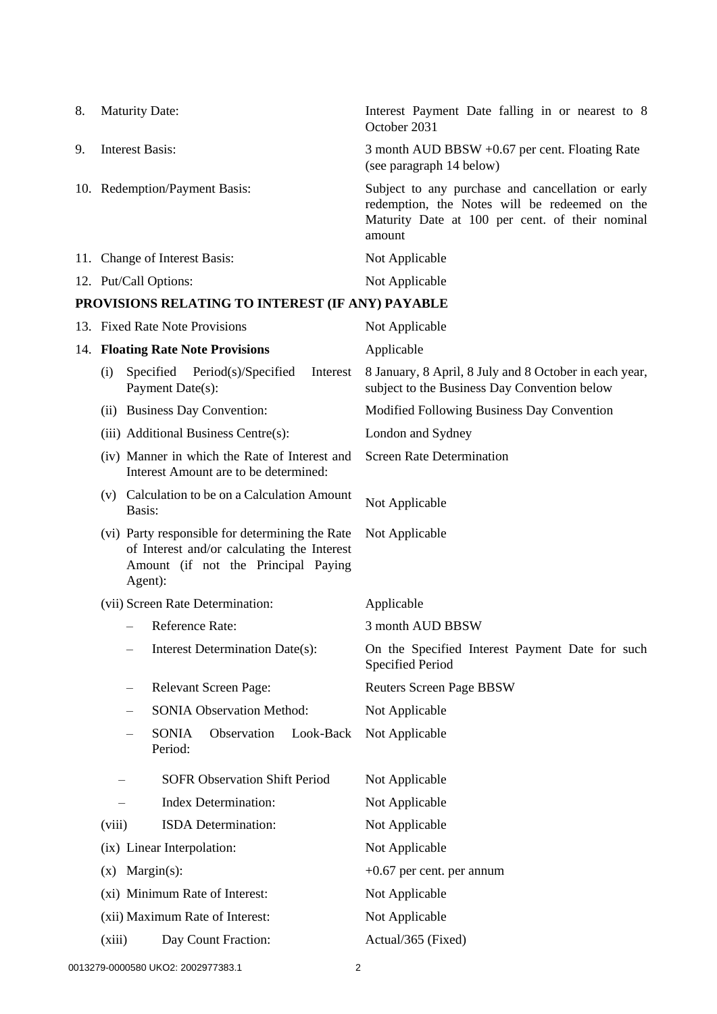| 8. | <b>Maturity Date:</b>         | Interest Payment Date falling in or nearest to 8<br>October 2031                                                                                                |
|----|-------------------------------|-----------------------------------------------------------------------------------------------------------------------------------------------------------------|
| 9. | Interest Basis:               | 3 month AUD BBSW +0.67 per cent. Floating Rate<br>(see paragraph 14 below)                                                                                      |
|    | 10. Redemption/Payment Basis: | Subject to any purchase and cancellation or early<br>redemption, the Notes will be redeemed on the<br>Maturity Date at 100 per cent. of their nominal<br>amount |
|    | 11. Change of Interest Basis: | Not Applicable                                                                                                                                                  |
|    | 12. Put/Call Options:         | Not Applicable                                                                                                                                                  |

# **PROVISIONS RELATING TO INTEREST (IF ANY) PAYABLE**

<span id="page-1-0"></span>

|  | 13. Fixed Rate Note Provisions                                                                                                                                                                              |                                                                                        | Not Applicable                                                                                         |  |
|--|-------------------------------------------------------------------------------------------------------------------------------------------------------------------------------------------------------------|----------------------------------------------------------------------------------------|--------------------------------------------------------------------------------------------------------|--|
|  | 14. Floating Rate Note Provisions                                                                                                                                                                           |                                                                                        | Applicable                                                                                             |  |
|  | (i)                                                                                                                                                                                                         | Specified Period(s)/Specified<br>Interest<br>Payment Date(s):                          | 8 January, 8 April, 8 July and 8 October in each year,<br>subject to the Business Day Convention below |  |
|  |                                                                                                                                                                                                             | (ii) Business Day Convention:                                                          | Modified Following Business Day Convention                                                             |  |
|  |                                                                                                                                                                                                             | (iii) Additional Business Centre(s):                                                   | London and Sydney                                                                                      |  |
|  |                                                                                                                                                                                                             | (iv) Manner in which the Rate of Interest and<br>Interest Amount are to be determined: | <b>Screen Rate Determination</b>                                                                       |  |
|  | (v) Calculation to be on a Calculation Amount<br>Basis:<br>(vi) Party responsible for determining the Rate<br>of Interest and/or calculating the Interest<br>Amount (if not the Principal Paying<br>Agent): |                                                                                        | Not Applicable                                                                                         |  |
|  |                                                                                                                                                                                                             |                                                                                        | Not Applicable                                                                                         |  |
|  |                                                                                                                                                                                                             | (vii) Screen Rate Determination:                                                       | Applicable                                                                                             |  |
|  |                                                                                                                                                                                                             | Reference Rate:                                                                        | 3 month AUD BBSW                                                                                       |  |
|  |                                                                                                                                                                                                             | Interest Determination Date(s):<br>$\qquad \qquad$                                     | On the Specified Interest Payment Date for such<br><b>Specified Period</b>                             |  |
|  | Relevant Screen Page:<br>$\overline{\phantom{m}}$                                                                                                                                                           |                                                                                        | <b>Reuters Screen Page BBSW</b>                                                                        |  |
|  |                                                                                                                                                                                                             | <b>SONIA Observation Method:</b>                                                       | Not Applicable                                                                                         |  |
|  |                                                                                                                                                                                                             | <b>SONIA</b><br>Observation<br>Look-Back<br>Period:                                    | Not Applicable                                                                                         |  |
|  | <b>SOFR Observation Shift Period</b>                                                                                                                                                                        |                                                                                        | Not Applicable                                                                                         |  |
|  |                                                                                                                                                                                                             | <b>Index Determination:</b>                                                            | Not Applicable                                                                                         |  |
|  | (viii)                                                                                                                                                                                                      | ISDA Determination:                                                                    | Not Applicable                                                                                         |  |
|  | (ix) Linear Interpolation:<br>$Margin(s)$ :<br>(x)<br>(xi) Minimum Rate of Interest:                                                                                                                        |                                                                                        | Not Applicable                                                                                         |  |
|  |                                                                                                                                                                                                             |                                                                                        | $+0.67$ per cent. per annum                                                                            |  |
|  |                                                                                                                                                                                                             |                                                                                        | Not Applicable                                                                                         |  |
|  | (xii) Maximum Rate of Interest:                                                                                                                                                                             |                                                                                        | Not Applicable                                                                                         |  |
|  | (xiii)                                                                                                                                                                                                      | Day Count Fraction:                                                                    | Actual/365 (Fixed)                                                                                     |  |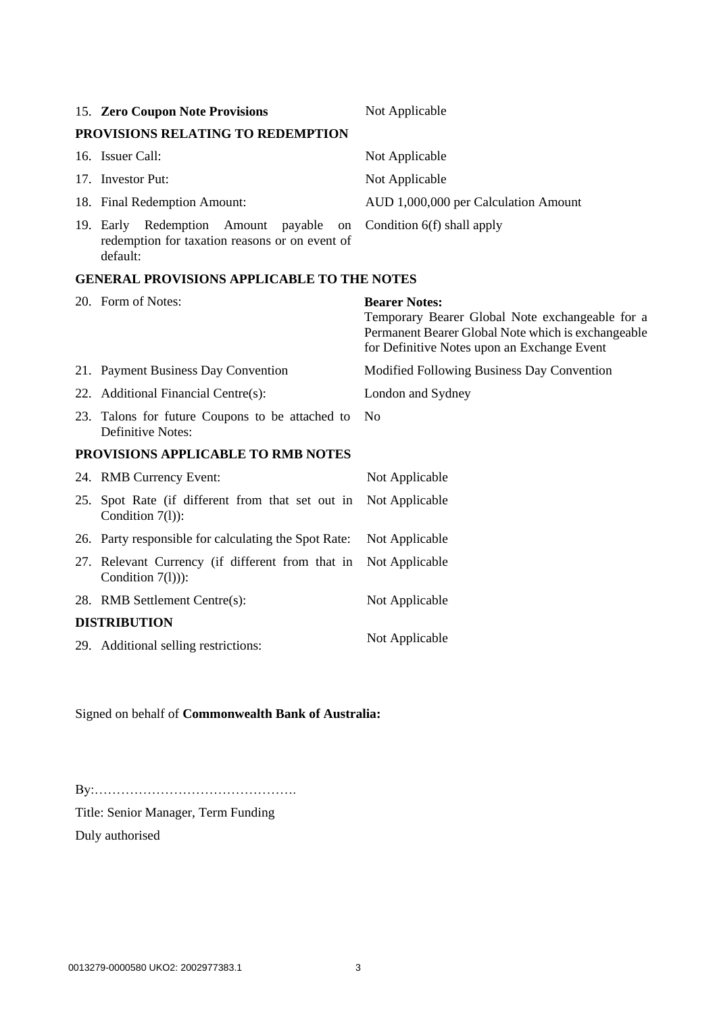|                                                   | 15. Zero Coupon Note Provisions                                                                      | Not Applicable                                                                                                                                                               |  |  |
|---------------------------------------------------|------------------------------------------------------------------------------------------------------|------------------------------------------------------------------------------------------------------------------------------------------------------------------------------|--|--|
|                                                   | PROVISIONS RELATING TO REDEMPTION                                                                    |                                                                                                                                                                              |  |  |
|                                                   | 16. Issuer Call:                                                                                     | Not Applicable                                                                                                                                                               |  |  |
|                                                   | 17. Investor Put:                                                                                    | Not Applicable                                                                                                                                                               |  |  |
|                                                   | 18. Final Redemption Amount:                                                                         | AUD 1,000,000 per Calculation Amount                                                                                                                                         |  |  |
|                                                   | 19. Early Redemption Amount payable on<br>redemption for taxation reasons or on event of<br>default: | Condition 6(f) shall apply                                                                                                                                                   |  |  |
| <b>GENERAL PROVISIONS APPLICABLE TO THE NOTES</b> |                                                                                                      |                                                                                                                                                                              |  |  |
|                                                   | 20. Form of Notes:                                                                                   | <b>Bearer Notes:</b><br>Temporary Bearer Global Note exchangeable for a<br>Permanent Bearer Global Note which is exchangeable<br>for Definitive Notes upon an Exchange Event |  |  |
|                                                   | 21. Payment Business Day Convention                                                                  | Modified Following Business Day Convention                                                                                                                                   |  |  |
|                                                   | 22. Additional Financial Centre(s):                                                                  | London and Sydney                                                                                                                                                            |  |  |

23. Talons for future Coupons to be attached to No Definitive Notes:

### **PROVISIONS APPLICABLE TO RMB NOTES**

|                     | 24. RMB Currency Event:                                                 | Not Applicable |  |
|---------------------|-------------------------------------------------------------------------|----------------|--|
|                     | 25. Spot Rate (if different from that set out in<br>Condition $7(1)$ :  | Not Applicable |  |
|                     | 26. Party responsible for calculating the Spot Rate:                    | Not Applicable |  |
|                     | 27. Relevant Currency (if different from that in<br>Condition $7(1))$ : | Not Applicable |  |
|                     | 28. RMB Settlement Centre(s):                                           | Not Applicable |  |
| <b>DISTRIBUTION</b> |                                                                         |                |  |
|                     | 29. Additional selling restrictions:                                    | Not Applicable |  |

# Signed on behalf of **Commonwealth Bank of Australia:**

By:……………………………………….

Title: Senior Manager, Term Funding

Duly authorised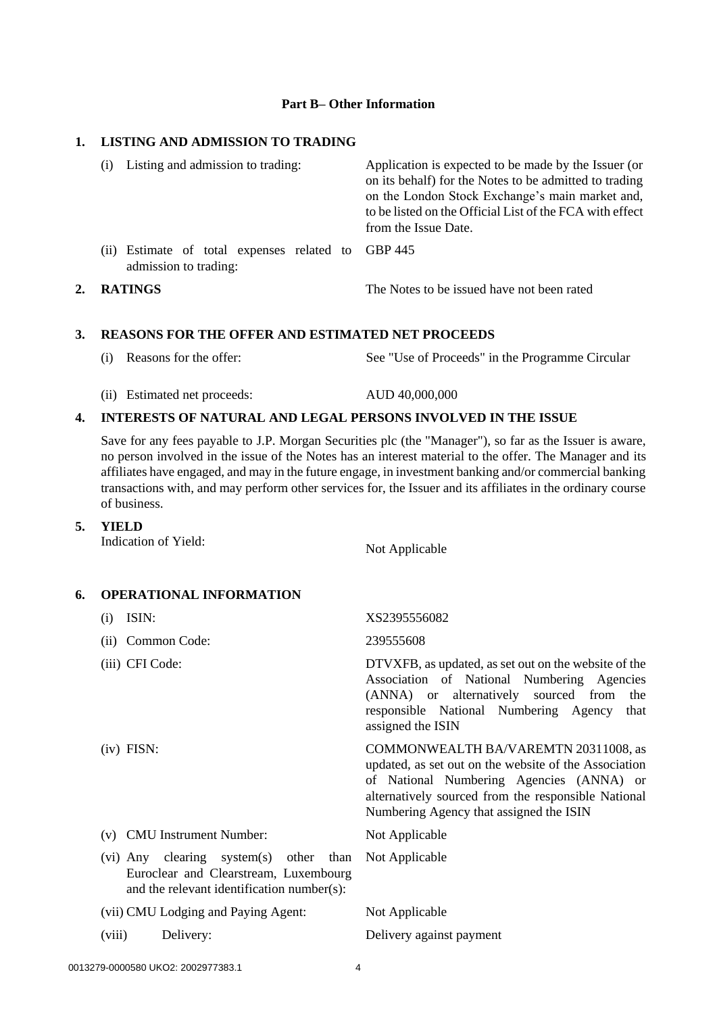#### **Part B– Other Information**

# **1. LISTING AND ADMISSION TO TRADING**

|    | Listing and admission to trading:<br>(1)                                       | Application is expected to be made by the Issuer (or<br>on its behalf) for the Notes to be admitted to trading<br>on the London Stock Exchange's main market and,<br>to be listed on the Official List of the FCA with effect<br>from the Issue Date. |  |
|----|--------------------------------------------------------------------------------|-------------------------------------------------------------------------------------------------------------------------------------------------------------------------------------------------------------------------------------------------------|--|
|    | Estimate of total expenses related to GBP 445<br>(11)<br>admission to trading: |                                                                                                                                                                                                                                                       |  |
| 2. | <b>RATINGS</b>                                                                 | The Notes to be issued have not been rated                                                                                                                                                                                                            |  |

#### **3. REASONS FOR THE OFFER AND ESTIMATED NET PROCEEDS**

- (i) Reasons for the offer: See "Use of Proceeds" in the Programme Circular
- (ii) Estimated net proceeds: AUD 40,000,000

#### **4. INTERESTS OF NATURAL AND LEGAL PERSONS INVOLVED IN THE ISSUE**

Save for any fees payable to J.P. Morgan Securities plc (the "Manager"), so far as the Issuer is aware, no person involved in the issue of the Notes has an interest material to the offer. The Manager and its affiliates have engaged, and may in the future engage, in investment banking and/or commercial banking transactions with, and may perform other services for, the Issuer and its affiliates in the ordinary course of business.

**5. YIELD** 

Indication of Yield: Not Applicable

#### **6. OPERATIONAL INFORMATION**

| (i)                                                                                                                           | ISIN:                               | XS2395556082                                                                                                                                                                                                                                |
|-------------------------------------------------------------------------------------------------------------------------------|-------------------------------------|---------------------------------------------------------------------------------------------------------------------------------------------------------------------------------------------------------------------------------------------|
|                                                                                                                               | (ii) Common Code:                   | 239555608                                                                                                                                                                                                                                   |
|                                                                                                                               | (iii) CFI Code:                     | DTVXFB, as updated, as set out on the website of the<br>Association of National Numbering Agencies<br>(ANNA) or alternatively sourced from the<br>responsible National Numbering Agency<br>that<br>assigned the ISIN                        |
|                                                                                                                               | $(iv)$ FISN:                        | COMMONWEALTH BA/VAREMTN 20311008, as<br>updated, as set out on the website of the Association<br>of National Numbering Agencies (ANNA) or<br>alternatively sourced from the responsible National<br>Numbering Agency that assigned the ISIN |
|                                                                                                                               | (v) CMU Instrument Number:          | Not Applicable                                                                                                                                                                                                                              |
| (vi) Any clearing system(s) other than<br>Euroclear and Clearstream, Luxembourg<br>and the relevant identification number(s): |                                     | Not Applicable                                                                                                                                                                                                                              |
|                                                                                                                               | (vii) CMU Lodging and Paying Agent: | Not Applicable                                                                                                                                                                                                                              |
| (viii)                                                                                                                        | Delivery:                           | Delivery against payment                                                                                                                                                                                                                    |